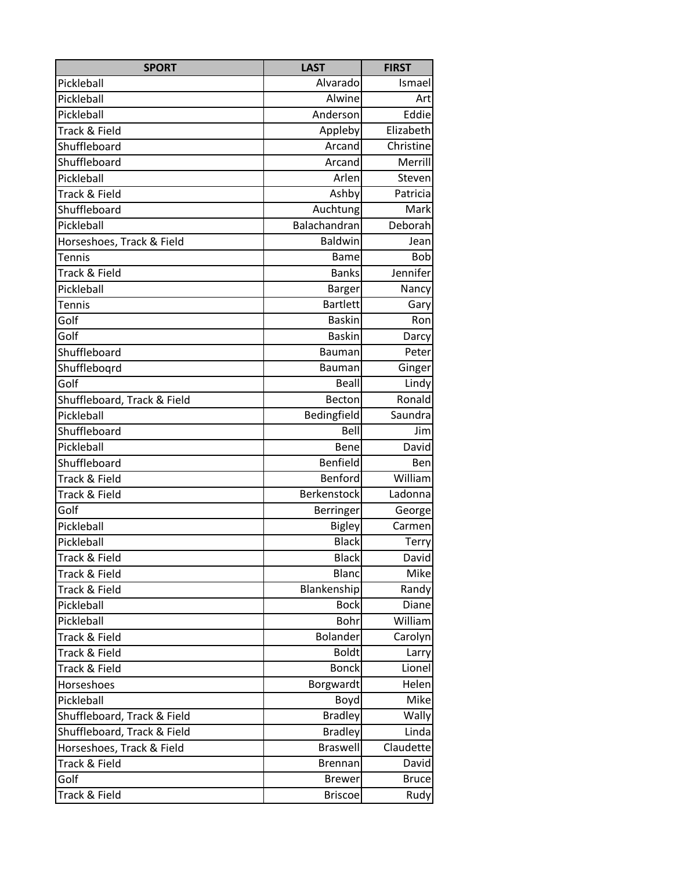| <b>SPORT</b>                | <b>LAST</b>     | <b>FIRST</b> |
|-----------------------------|-----------------|--------------|
| Pickleball                  | Alvarado        | Ismael       |
| Pickleball                  | Alwine          | Art          |
| Pickleball                  | Anderson        | Eddie        |
| Track & Field               | Appleby         | Elizabeth    |
| Shuffleboard                | Arcand          | Christine    |
| Shuffleboard                | Arcand          | Merrill      |
| Pickleball                  | Arlen           | Steven       |
| Track & Field               | Ashby           | Patricia     |
| Shuffleboard                | Auchtung        | Mark         |
| Pickleball                  | Balachandran    | Deborah      |
| Horseshoes, Track & Field   | Baldwin         | Jean         |
| Tennis                      | <b>Bame</b>     | <b>Bob</b>   |
| Track & Field               | <b>Banks</b>    | Jennifer     |
| Pickleball                  | <b>Barger</b>   | Nancy        |
| <b>Tennis</b>               | <b>Bartlett</b> | Gary         |
| Golf                        | <b>Baskin</b>   | Ron          |
| Golf                        | <b>Baskin</b>   | Darcy        |
| Shuffleboard                | Bauman          | Peter        |
| Shufflebogrd                | <b>Bauman</b>   | Ginger       |
| Golf                        | <b>Beall</b>    | Lindy        |
| Shuffleboard, Track & Field | Becton          | Ronald       |
| Pickleball                  | Bedingfield     | Saundra      |
| Shuffleboard                | Bell            | Jim          |
| Pickleball                  | Bene            | David        |
| Shuffleboard                | Benfield        | Ben          |
| Track & Field               | Benford         | William      |
| Track & Field               | Berkenstock     | Ladonna      |
| Golf                        | Berringer       | George       |
| Pickleball                  | <b>Bigley</b>   | Carmen       |
| Pickleball                  | <b>Black</b>    | Terry        |
| Track & Field               | <b>Black</b>    | David        |
| Track & Field               | <b>Blanc</b>    | <b>Mike</b>  |
| Track & Field               | Blankenship     | Randy        |
| Pickleball                  | <b>Bock</b>     | Diane        |
| Pickleball                  | Bohr            | William      |
| Track & Field               | Bolander        | Carolyn      |
| Track & Field               | <b>Boldt</b>    | Larry        |
| Track & Field               | <b>Bonck</b>    | Lionel       |
| Horseshoes                  | Borgwardt       | Helen        |
| Pickleball                  | Boyd            | <b>Mike</b>  |
| Shuffleboard, Track & Field | <b>Bradley</b>  | <b>Wally</b> |
| Shuffleboard, Track & Field | <b>Bradley</b>  | Linda        |
| Horseshoes, Track & Field   | <b>Braswell</b> | Claudette    |
| Track & Field               | <b>Brennan</b>  | David        |
| Golf                        | <b>Brewer</b>   | <b>Bruce</b> |
| Track & Field               | <b>Briscoe</b>  | Rudy         |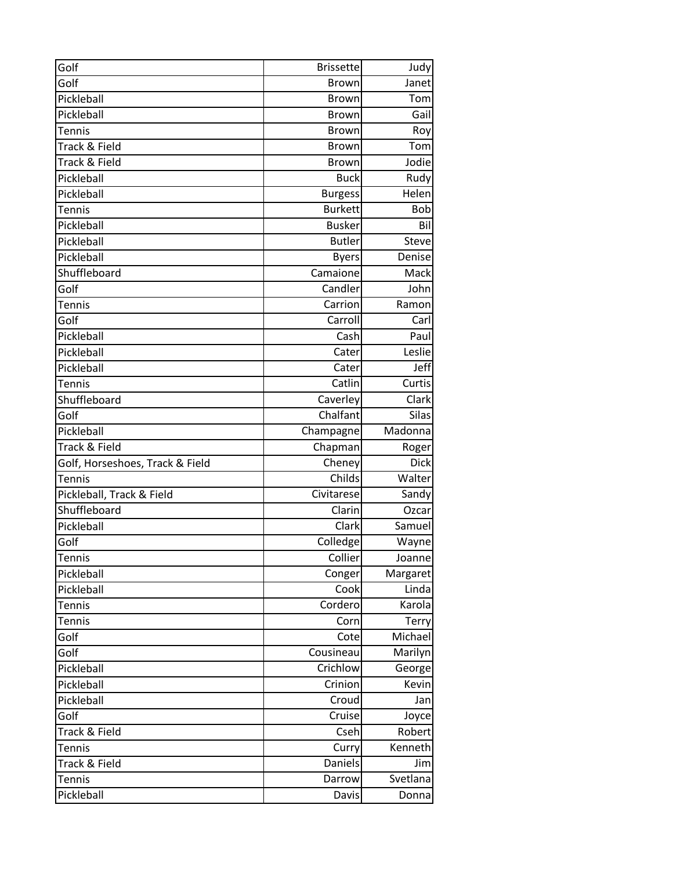| Golf                            | <b>Brissette</b> | Judy         |
|---------------------------------|------------------|--------------|
| Golf                            | <b>Brown</b>     | Janet        |
| Pickleball                      | <b>Brown</b>     | Tom          |
| Pickleball                      | <b>Brown</b>     | Gail         |
| <b>Tennis</b>                   | <b>Brown</b>     | Roy          |
| Track & Field                   | <b>Brown</b>     | Tom          |
| Track & Field                   | <b>Brown</b>     | Jodie        |
| Pickleball                      | <b>Buck</b>      | Rudy         |
| Pickleball                      | <b>Burgess</b>   | Helen        |
| Tennis                          | <b>Burkett</b>   | Bob          |
| Pickleball                      | <b>Busker</b>    | Bil          |
| Pickleball                      | <b>Butler</b>    | <b>Steve</b> |
| Pickleball                      | <b>Byers</b>     | Denise       |
| Shuffleboard                    | Camaione         | Mack         |
| Golf                            | Candler          | John         |
| <b>Tennis</b>                   | Carrion          | Ramon        |
| Golf                            | Carroll          | Carl         |
| Pickleball                      | Cash             | Paul         |
| Pickleball                      | Cater            | Leslie       |
| Pickleball                      | Cater            | Jeff         |
| Tennis                          | Catlin           | Curtis       |
| Shuffleboard                    | Caverley         | Clark        |
| Golf                            | Chalfant         | <b>Silas</b> |
| Pickleball                      | Champagne        | Madonna      |
| Track & Field                   | Chapman          | Roger        |
| Golf, Horseshoes, Track & Field | Cheney           | <b>Dick</b>  |
| Tennis                          | Childs           | Walter       |
| Pickleball, Track & Field       | Civitarese       | Sandy        |
| Shuffleboard                    | Clarin           | Ozcar        |
| Pickleball                      | Clark            | Samuel       |
| Golf                            | Colledge         | Wayne        |
| Tennis                          | Collier          | Joanne       |
| Pickleball                      | Conger           | Margaret     |
| Pickleball                      | Cook             | Linda        |
| <b>Tennis</b>                   | Cordero          | Karola       |
| <b>Tennis</b>                   | Corn             | <b>Terry</b> |
| Golf                            | Cote             | Michael      |
| Golf                            | Cousineau        | Marilyn      |
| Pickleball                      | Crichlow         | George       |
| Pickleball                      | Crinion          | Kevin        |
| Pickleball                      | Croud            | Jan          |
| Golf                            | Cruise           | Joyce        |
| Track & Field                   | Cseh             | Robert       |
| <b>Tennis</b>                   | Curry            | Kenneth      |
| Track & Field                   | Daniels          | Jim          |
| <b>Tennis</b>                   | Darrow           | Svetlana     |
| Pickleball                      | Davis            | Donna        |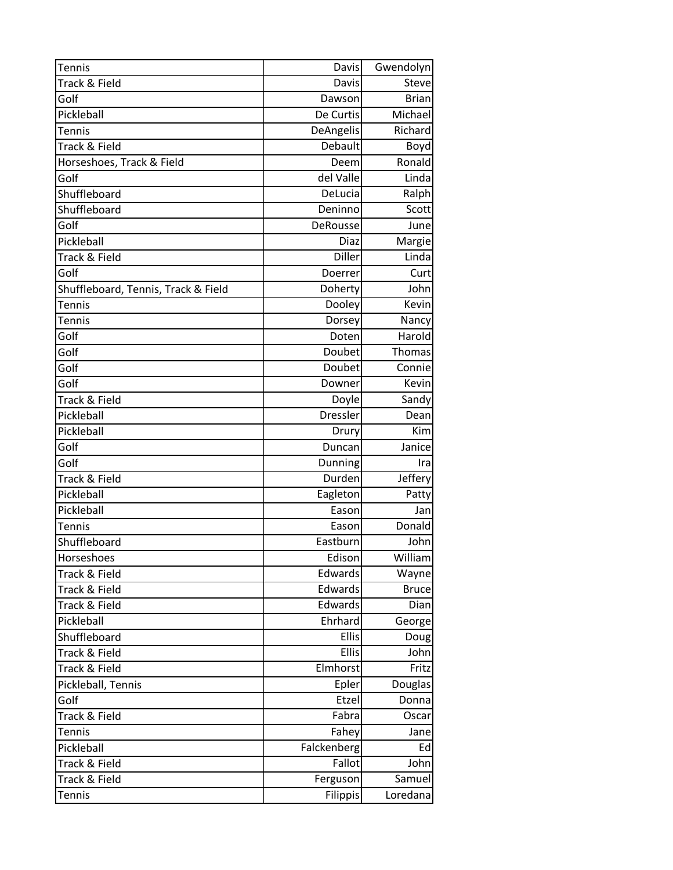| <b>Tennis</b>                       | <b>Davis</b>    | Gwendolyn      |
|-------------------------------------|-----------------|----------------|
| Track & Field                       | Davis           | Steve          |
| Golf                                | Dawson          | <b>Brian</b>   |
| Pickleball                          | De Curtis       | Michael        |
| Tennis                              | DeAngelis       | Richard        |
| Track & Field                       | Debault         | Boyd           |
| Horseshoes, Track & Field           | Deem            | Ronald         |
| Golf                                | del Valle       | Linda          |
| Shuffleboard                        | DeLucia         | Ralph          |
| Shuffleboard                        | Deninno         | Scott          |
| Golf                                | DeRousse        | June           |
| Pickleball                          | Diaz            | Margie         |
| Track & Field                       | Diller          | Linda          |
| Golf                                | Doerrer         | Curt           |
| Shuffleboard, Tennis, Track & Field | Doherty         | John           |
| <b>Tennis</b>                       | Dooley          | Kevin          |
| Tennis                              | Dorsey          | Nancy          |
| Golf                                | Doten           | Harold         |
| Golf                                | Doubet          | Thomas         |
| Golf                                | Doubet          | Connie         |
| Golf                                | Downer          | Kevin          |
| Track & Field                       | Doyle           | Sandy          |
| Pickleball                          | Dressler        | Dean           |
| Pickleball                          | Drury           | Kim            |
| Golf                                | Duncan          | Janice         |
| Golf                                | Dunning         | Ira            |
| Track & Field                       | Durden          | Jeffery        |
| Pickleball                          | Eagleton        | Patty          |
| Pickleball                          | Eason           | Jan            |
| Tennis                              | Eason           | Donald         |
| Shuffleboard                        | Eastburn        | John           |
| Horseshoes                          | Edison          | William        |
| Track & Field                       | Edwards         | Wayne          |
| Track & Field                       | Edwards         | <b>Bruce</b>   |
| Track & Field                       | Edwards         | Dian           |
| Pickleball                          | Ehrhard         | George         |
| Shuffleboard                        | Ellis           | Doug           |
| Track & Field                       | Ellis           | John           |
| Track & Field                       | Elmhorst        | Fritz          |
| Pickleball, Tennis                  | Epler           | <b>Douglas</b> |
| Golf                                | Etzel           | Donna          |
| Track & Field                       | Fabra           | Oscar          |
| <b>Tennis</b>                       | Fahey           | Jane           |
| Pickleball                          | Falckenberg     | Ed             |
| Track & Field                       | Fallot          | John           |
| Track & Field                       | Ferguson        | Samuel         |
| <b>Tennis</b>                       | <b>Filippis</b> | Loredana       |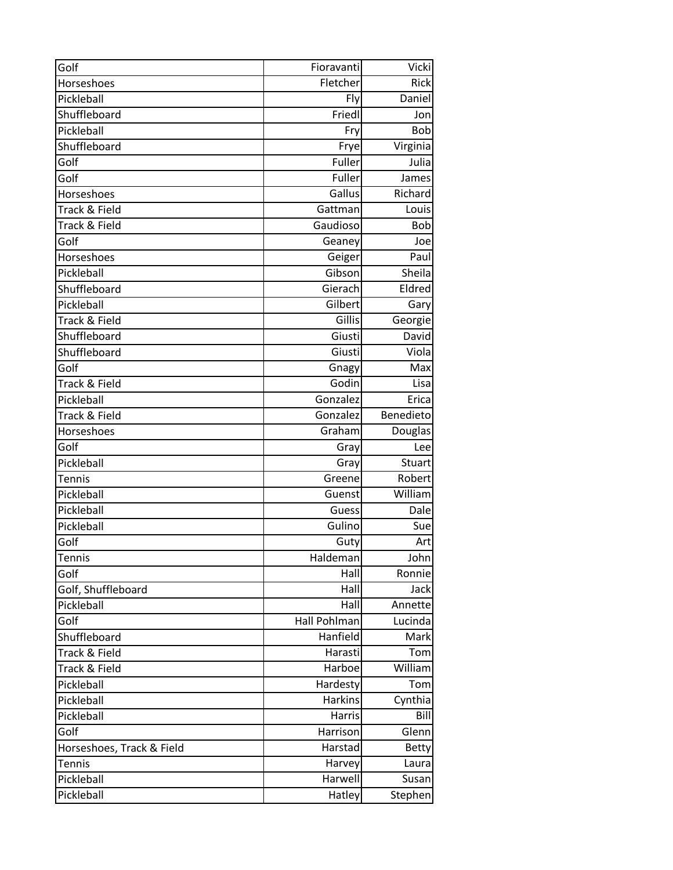| Golf                      | Fioravanti     | <b>Vicki</b>  |
|---------------------------|----------------|---------------|
| Horseshoes                | Fletcher       | <b>Rick</b>   |
| Pickleball                | Fly            | Daniel        |
| Shuffleboard              | Friedl         | Jon           |
| Pickleball                | Fry            | Bob           |
| Shuffleboard              | Frye           | Virginia      |
| Golf                      | Fuller         | Julia         |
| Golf                      | Fuller         | James         |
| Horseshoes                | Gallus         | Richard       |
| Track & Field             | Gattman        | Louis         |
| Track & Field             | Gaudioso       | Bob           |
| Golf                      | Geaney         | Joe           |
| Horseshoes                | Geiger         | Paul          |
| Pickleball                | Gibson         | Sheila        |
| Shuffleboard              | Gierach        | Eldred        |
| Pickleball                | Gilbert        | Gary          |
| Track & Field             | Gillis         | Georgie       |
| Shuffleboard              | Giusti         | <b>David</b>  |
| Shuffleboard              | Giusti         | Viola         |
| Golf                      | Gnagy          | Max           |
| Track & Field             | Godin          | Lisa          |
| Pickleball                | Gonzalez       | Erica         |
| Track & Field             | Gonzalez       | Benedieto     |
| Horseshoes                | Graham         | Douglas       |
| Golf                      | Gray           | Lee           |
| Pickleball                | Gray           | <b>Stuart</b> |
| <b>Tennis</b>             | Greene         | Robert        |
| Pickleball                | Guenst         | William       |
| Pickleball                | Guess          | Dale          |
| Pickleball                | Gulino         | Sue           |
| Golf                      | Guty           | Art           |
| <b>Tennis</b>             | Haldeman       | John          |
| Golf                      | Hall           | Ronnie        |
| Golf, Shuffleboard        | Hall           | Jack          |
| Pickleball                | Hall           | Annette       |
| Golf                      | Hall Pohlman   | Lucinda       |
| Shuffleboard              | Hanfield       | Mark          |
| Track & Field             | Harasti        | Tom           |
| Track & Field             | Harboe         | William       |
| Pickleball                | Hardesty       | Tom           |
| Pickleball                | <b>Harkins</b> | Cynthia       |
| Pickleball                | Harris         | Bill          |
| Golf                      | Harrison       | Glenn         |
| Horseshoes, Track & Field | Harstad        | <b>Betty</b>  |
| <b>Tennis</b>             | Harvey         | Laura         |
| Pickleball                | Harwell        | Susan         |
| Pickleball                | Hatley         | Stephen       |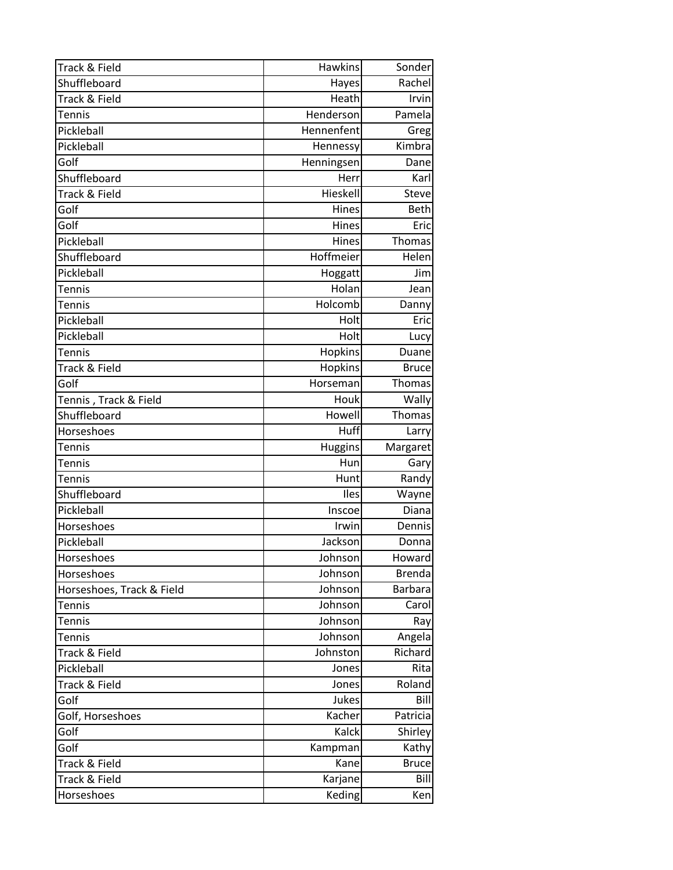| Track & Field               | <b>Hawkins</b>    | Sonder         |
|-----------------------------|-------------------|----------------|
| Shuffleboard                | Hayes             | Rachel         |
| Track & Field               | Heath             | Irvin          |
| Tennis                      | Henderson         | Pamela         |
| Pickleball                  | Hennenfent        | Greg           |
| Pickleball                  | Hennessy          | Kimbra         |
| Golf                        | Henningsen        | Dane           |
| Shuffleboard                | Herr              | Karl           |
| Track & Field               | Hieskell          | Steve          |
| Golf                        | Hines             | <b>Beth</b>    |
| Golf                        | Hines             | Eric           |
| Pickleball                  | Hines             | Thomas         |
| Shuffleboard                | Hoffmeier         | Helen          |
| Pickleball                  | Hoggatt           | Jim            |
| <b>Tennis</b>               | Holan             | Jean           |
| <b>Tennis</b>               | Holcomb           | Danny          |
| Pickleball                  | Holt              | Eric           |
| Pickleball                  | Holt              | Lucy           |
| Tennis                      | Hopkins           | Duane          |
| Track & Field               | Hopkins           | <b>Bruce</b>   |
| Golf                        | Horseman          | Thomas         |
| Tennis, Track & Field       | Houk              | Wally          |
| Shuffleboard                | Howell            | Thomas         |
| Horseshoes                  | Huff              | Larry          |
|                             |                   |                |
| Tennis                      | <b>Huggins</b>    | Margaret       |
| Tennis                      | Hun               | Gary           |
| Tennis                      | Hunt              | Randy          |
| Shuffleboard                | Iles              | Wayne          |
| Pickleball                  | Inscoe            | Diana          |
| Horseshoes                  | Irwin             | Dennis         |
| Pickleball                  | Jackson           | Donna          |
| Horseshoes                  | Johnson           | Howard         |
| Horseshoes                  | Johnson           | <b>Brenda</b>  |
| Horseshoes, Track & Field   | Johnson           | <b>Barbara</b> |
| <b>Tennis</b>               | Johnson           | Carol          |
| <b>Tennis</b>               | Johnson           | Ray            |
| Tennis                      | Johnson           | Angela         |
| Track & Field               | Johnston          | Richard        |
| Pickleball                  | Jones             | Rita           |
| Track & Field               | Jones             | Roland         |
| Golf                        | Jukes             | Bill           |
| Golf, Horseshoes            | Kacher            | Patricia       |
| Golf                        | Kalck             | Shirley        |
| Golf                        | Kampman           | Kathy          |
| Track & Field               | Kane              | <b>Bruce</b>   |
| Track & Field<br>Horseshoes | Karjane<br>Keding | Bill<br>Ken    |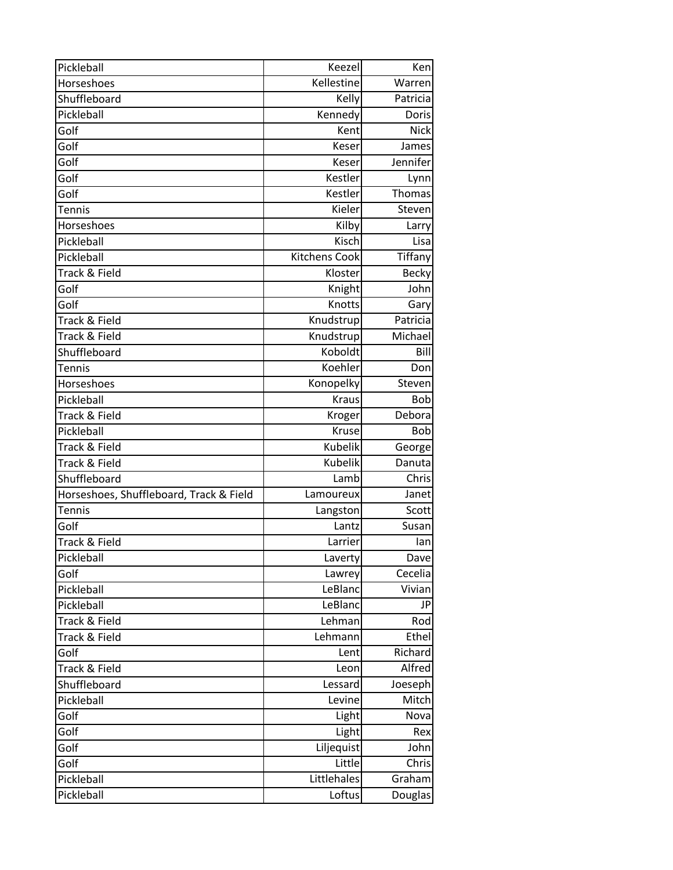| Pickleball                              | Keezel               | Ken            |
|-----------------------------------------|----------------------|----------------|
| Horseshoes                              | Kellestine           | Warren         |
| Shuffleboard                            | Kelly                | Patricia       |
| Pickleball                              | Kennedy              | Doris          |
| Golf                                    | Kent                 | <b>Nick</b>    |
| Golf                                    | Keser                | James          |
| Golf                                    | Keser                | Jennifer       |
| Golf                                    | Kestler              | Lynn           |
| Golf                                    | Kestler              | Thomas         |
| Tennis                                  | Kieler               | Steven         |
| Horseshoes                              | Kilby                | Larry          |
| Pickleball                              | Kisch                | Lisa           |
| Pickleball                              | <b>Kitchens Cook</b> | Tiffany        |
| Track & Field                           | Kloster              | <b>Becky</b>   |
| Golf                                    | Knight               | John           |
| Golf                                    | Knotts               | Gary           |
| Track & Field                           | Knudstrup            | Patricia       |
| Track & Field                           | Knudstrup            | Michael        |
| Shuffleboard                            | Koboldt              | Bill           |
| Tennis                                  | Koehler              | Don            |
| Horseshoes                              | Konopelky            | Steven         |
| Pickleball                              | <b>Kraus</b>         | <b>Bob</b>     |
| Track & Field                           | Kroger               | Debora         |
| Pickleball                              | Kruse                | Bob            |
| Track & Field                           | Kubelik              | George         |
| Track & Field                           | Kubelik              | Danuta         |
| Shuffleboard                            | Lamb                 | Chris          |
| Horseshoes, Shuffleboard, Track & Field | Lamoureux            | Janet          |
| Tennis                                  | Langston             | <b>Scott</b>   |
| Golf                                    | Lantz                | Susan          |
| Track & Field                           | Larrier              | an             |
| Pickleball                              | Laverty              | Dave           |
| Golf                                    | Lawrey               | Cecelia        |
| Pickleball                              | LeBlanc              | Vivian         |
| Pickleball                              | LeBlanc              | JP             |
| Track & Field                           | Lehman               | Rod            |
| Track & Field                           | Lehmann              | Ethel          |
| Golf                                    | Lent                 | Richard        |
| Track & Field                           | Leon                 | Alfred         |
| Shuffleboard                            | Lessard              | Joeseph        |
| Pickleball                              | Levine               | Mitch          |
| Golf                                    | Light                | Noval          |
| Golf                                    | Light                | Rex            |
| Golf                                    | Liljequist           | John           |
| Golf                                    | Little               | Chris          |
| Pickleball                              | Littlehales          | Graham         |
| Pickleball                              | Loftus               | <b>Douglas</b> |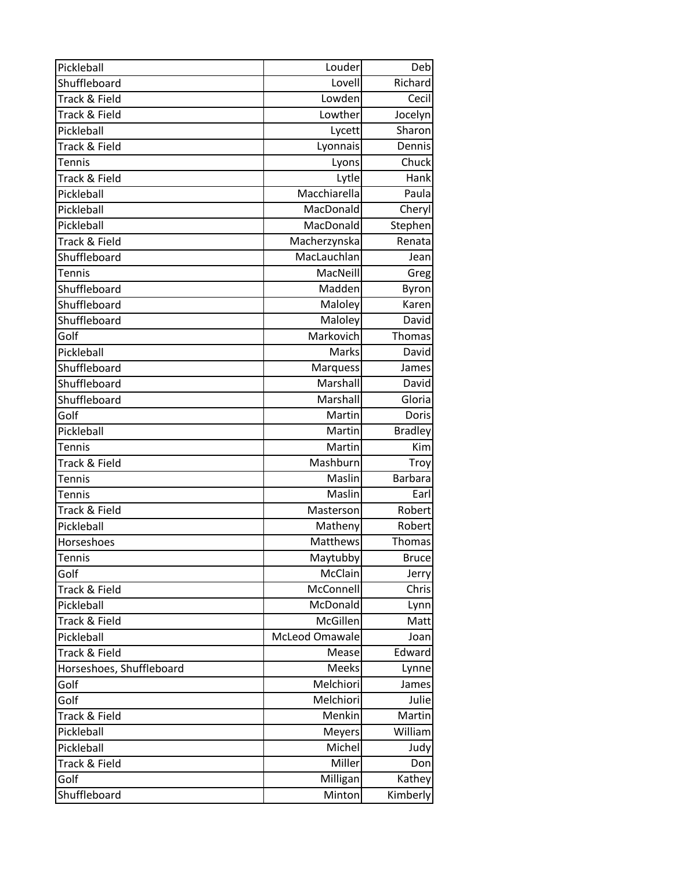| Pickleball               | Louder         | Deb            |
|--------------------------|----------------|----------------|
| Shuffleboard             | Lovell         | Richard        |
| Track & Field            | Lowden         | Cecil          |
| Track & Field            | Lowther        | Jocelyn        |
| Pickleball               | Lycett         | Sharon         |
| Track & Field            | Lyonnais       | Dennis         |
| <b>Tennis</b>            | Lyons          | Chuck          |
| Track & Field            | Lytle          | Hank           |
| Pickleball               | Macchiarella   | Paula          |
| Pickleball               | MacDonald      | Cheryl         |
| Pickleball               | MacDonald      | Stephen        |
| Track & Field            | Macherzynska   | Renata         |
| Shuffleboard             | MacLauchlan    | Jean           |
| Tennis                   | MacNeill       | Greg           |
| Shuffleboard             | Madden         | Byron          |
| Shuffleboard             | Maloley        | Karen          |
| Shuffleboard             | Maloley        | David          |
| Golf                     | Markovich      | Thomas         |
| Pickleball               | Marks          | David          |
| Shuffleboard             | Marquess       | James          |
| Shuffleboard             | Marshall       | David          |
| Shuffleboard             | Marshall       | Gloria         |
| Golf                     | Martin         | Doris          |
| Pickleball               | Martin         | <b>Bradley</b> |
| <b>Tennis</b>            | Martin         | Kim            |
| Track & Field            | Mashburn       | Troy           |
| Tennis                   | Maslin         | <b>Barbara</b> |
| Tennis                   | Maslin         | Earl           |
| Track & Field            | Masterson      | Robert         |
| Pickleball               | Matheny        | Robert         |
| Horseshoes               | Matthews       | Thomas         |
| Tennis                   | Maytubby       | <b>Bruce</b>   |
| Golf                     | McClain        | Jerry          |
| Track & Field            | McConnell      | Chris          |
| Pickleball               | McDonald       | Lynn           |
| Track & Field            | McGillen       | Matt           |
| Pickleball               | McLeod Omawale | Joan           |
| Track & Field            | Mease          | Edward         |
| Horseshoes, Shuffleboard | Meeks          | Lynne          |
| Golf                     | Melchiori      | James          |
| Golf                     | Melchiori      | Julie          |
| Track & Field            | Menkin         | Martin         |
| Pickleball               | <b>Meyers</b>  | William        |
| Pickleball               | Michel         | Judy           |
| Track & Field            | Miller         | Don            |
| Golf                     | Milligan       | Kathey         |
| Shuffleboard             | Minton         | Kimberly       |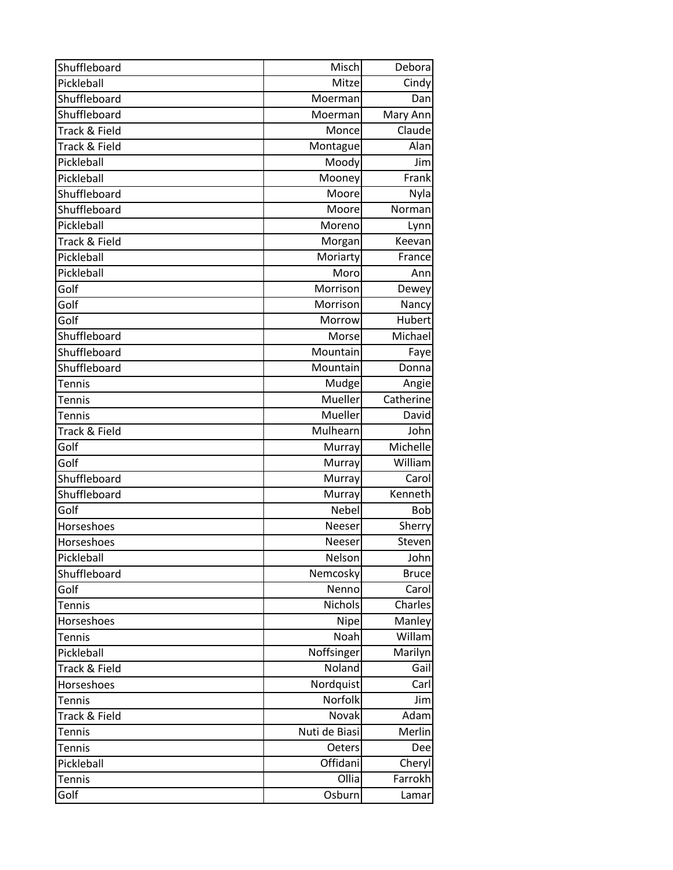| Shuffleboard  | Misch         | Debora       |
|---------------|---------------|--------------|
| Pickleball    | Mitze         | Cindy        |
| Shuffleboard  | Moerman       | Dan          |
| Shuffleboard  | Moerman       | Mary Ann     |
| Track & Field | Monce         | Claude       |
| Track & Field | Montague      | Alan         |
| Pickleball    | Moody         | Jim          |
| Pickleball    | Mooney        | Frank        |
| Shuffleboard  | Moore         | Nyla         |
| Shuffleboard  | Moore         | Norman       |
| Pickleball    | Moreno        | Lynn         |
| Track & Field | Morgan        | Keevan       |
| Pickleball    | Moriarty      | France       |
| Pickleball    | Moro          | Ann          |
| Golf          | Morrison      | Dewey        |
| Golf          | Morrison      | Nancy        |
| Golf          | Morrow        | Hubert       |
| Shuffleboard  | Morse         | Michael      |
| Shuffleboard  | Mountain      | Faye         |
| Shuffleboard  | Mountain      | Donna        |
| <b>Tennis</b> | Mudge         | Angie        |
| Tennis        | Mueller       | Catherine    |
| <b>Tennis</b> | Mueller       | David        |
| Track & Field | Mulhearn      | John         |
| Golf          | Murray        | Michelle     |
| Golf          | Murray        | William      |
| Shuffleboard  | Murray        | Carol        |
| Shuffleboard  | Murray        | Kenneth      |
| Golf          | Nebel         | Bob          |
| Horseshoes    | Neeser        | Sherry       |
| Horseshoes    | Neeser        | Steven       |
| Pickleball    | Nelson        | John         |
| Shuffleboard  | Nemcosky      | <b>Bruce</b> |
| Golf          | Nenno         | Carol        |
| <b>Tennis</b> | Nichols       | Charles      |
| Horseshoes    | <b>Nipe</b>   | Manley       |
| Tennis        | Noah          | Willam       |
| Pickleball    | Noffsinger    | Marilyn      |
| Track & Field | Noland        | Gail         |
| Horseshoes    | Nordquist     | Carl         |
| <b>Tennis</b> | Norfolk       | Jim          |
| Track & Field | Novak         | Adam         |
| <b>Tennis</b> | Nuti de Biasi | Merlin       |
| <b>Tennis</b> | Oeters        | Dee          |
| Pickleball    | Offidani      | Cheryl       |
| <b>Tennis</b> | Ollia         | Farrokh      |
| Golf          | Osburn        | Lamar        |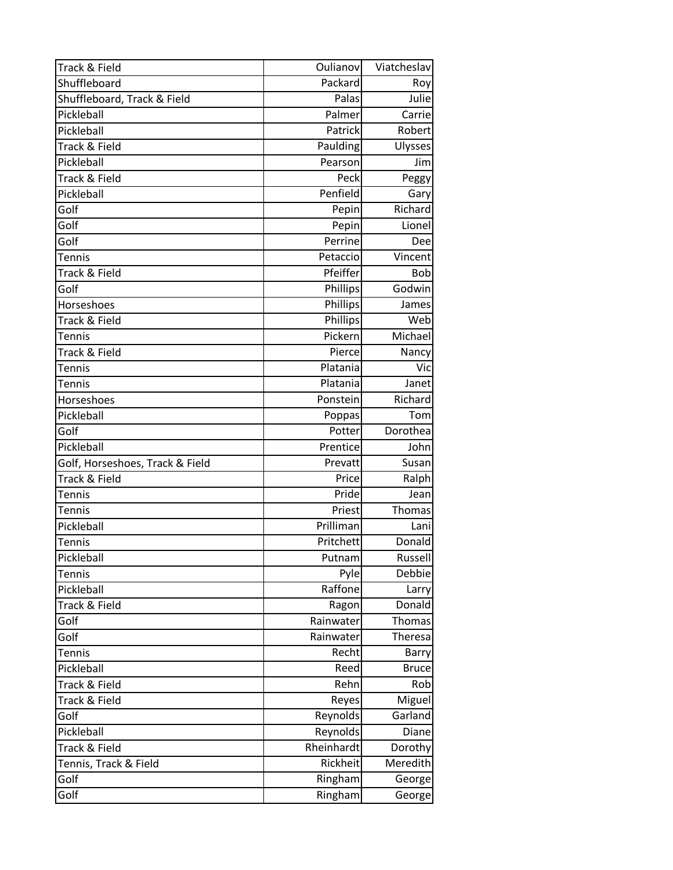| Track & Field                   | Oulianov   | Viatcheslav  |
|---------------------------------|------------|--------------|
| Shuffleboard                    | Packard    | Roy          |
| Shuffleboard, Track & Field     | Palas      | Julie        |
| Pickleball                      | Palmer     | Carrie       |
| Pickleball                      | Patrick    | Robert       |
| Track & Field                   | Paulding   | Ulysses      |
| Pickleball                      | Pearson    | Jim          |
| Track & Field                   | Peck       | Peggy        |
| Pickleball                      | Penfield   | Gary         |
| Golf                            | Pepin      | Richard      |
| Golf                            | Pepin      | Lionel       |
| Golf                            | Perrine    | Dee          |
| Tennis                          | Petaccio   | Vincent      |
| Track & Field                   | Pfeiffer   | <b>Bob</b>   |
| Golf                            | Phillips   | Godwin       |
| Horseshoes                      | Phillips   | James        |
| Track & Field                   | Phillips   | Web          |
| <b>Tennis</b>                   | Pickern    | Michael      |
| Track & Field                   | Pierce     | Nancy        |
| Tennis                          | Platania   | Vic          |
| Tennis                          | Platania   | Janet        |
| Horseshoes                      | Ponstein   | Richard      |
| Pickleball                      | Poppas     | Tom          |
| Golf                            | Potter     | Dorothea     |
| Pickleball                      | Prentice   | John         |
| Golf, Horseshoes, Track & Field | Prevatt    | Susan        |
| Track & Field                   | Price      | Ralph        |
| <b>Tennis</b>                   | Pride      | Jean         |
| Tennis                          | Priest     | Thomas       |
| Pickleball                      | Prilliman  | Lani         |
| <b>Tennis</b>                   | Pritchett  | Donald       |
| Pickleball                      | Putnam     | Russell      |
| Tennis                          | Pyle       | Debbie       |
| Pickleball                      | Raffone    | Larry        |
| Track & Field                   | Ragon      | Donald       |
| Golf                            | Rainwater  | Thomas       |
| Golf                            | Rainwater  | Theresa      |
| Tennis                          | Recht      | <b>Barry</b> |
| Pickleball                      | Reed       | <b>Bruce</b> |
| Track & Field                   | Rehn       | Rob          |
| Track & Field                   | Reyes      | Miguel       |
| Golf                            | Reynolds   | Garland      |
| Pickleball                      | Reynolds   | Diane        |
| Track & Field                   | Rheinhardt | Dorothy      |
| Tennis, Track & Field           | Rickheit   | Meredith     |
| Golf                            | Ringham    | George       |
| Golf                            | Ringham    | George       |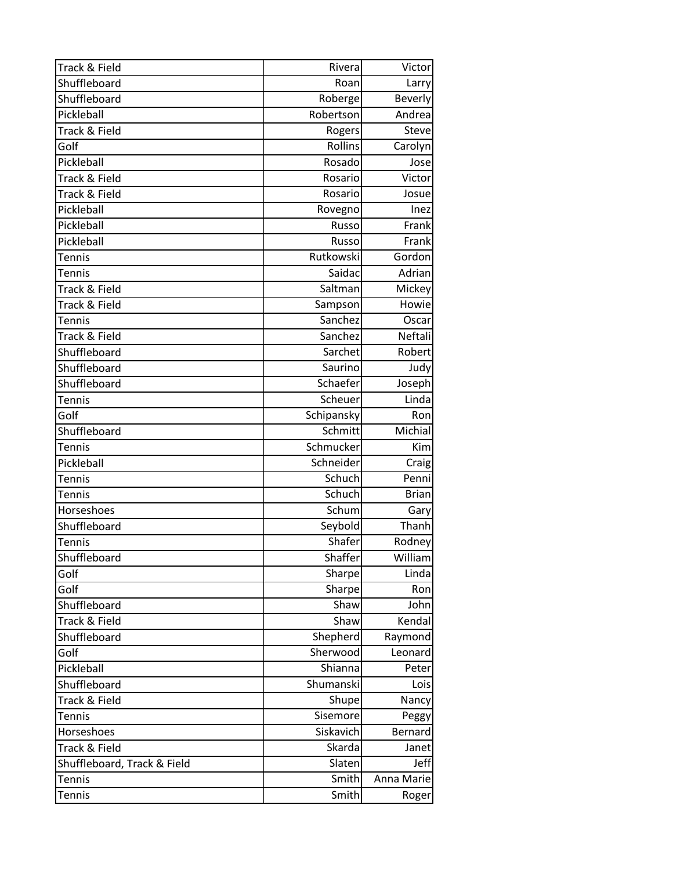| Track & Field               | Rivera     | Victor         |
|-----------------------------|------------|----------------|
| Shuffleboard                | Roan       | Larry          |
| Shuffleboard                | Roberge    | <b>Beverly</b> |
| Pickleball                  | Robertson  | Andrea         |
| Track & Field               | Rogers     | <b>Steve</b>   |
| Golf                        | Rollins    | Carolyn        |
| Pickleball                  | Rosado     | Jose           |
| Track & Field               | Rosario    | Victor         |
| Track & Field               | Rosario    | Josue          |
| Pickleball                  | Rovegno    | Inez           |
| Pickleball                  | Russo      | Frank          |
| Pickleball                  | Russo      | Frank          |
| <b>Tennis</b>               | Rutkowski  | Gordon         |
| Tennis                      | Saidac     | Adrian         |
| Track & Field               | Saltman    | Mickey         |
| Track & Field               | Sampson    | Howie          |
| Tennis                      | Sanchez    | Oscar          |
| Track & Field               | Sanchez    | Neftali        |
| Shuffleboard                | Sarchet    | Robert         |
| Shuffleboard                | Saurino    | Judy           |
| Shuffleboard                | Schaefer   | Joseph         |
| Tennis                      | Scheuer    | Linda          |
| Golf                        | Schipansky | Ron            |
| Shuffleboard                | Schmitt    | Michial        |
| Tennis                      | Schmucker  | Kim            |
| Pickleball                  | Schneider  | Craig          |
| Tennis                      | Schuch     | Penni          |
| Tennis                      | Schuch     | <b>Brian</b>   |
| Horseshoes                  | Schum      | Gary           |
| Shuffleboard                | Seybold    | Thanh          |
| <b>Tennis</b>               | Shafer     | Rodney         |
| Shuffleboard                | Shaffer    | William        |
| Golf                        | Sharpe     | Linda          |
| Golf                        | Sharpe     | Ron            |
| Shuffleboard                | Shaw       | John           |
| Track & Field               | Shaw       | Kendal         |
| Shuffleboard                | Shepherd   | Raymond        |
| Golf                        | Sherwood   | Leonard        |
| Pickleball                  | Shianna    | Peter          |
| Shuffleboard                | Shumanski  | Lois           |
| Track & Field               | Shupe      | Nancy          |
| Tennis                      | Sisemore   | Peggy          |
| Horseshoes                  | Siskavich  | Bernard        |
| Track & Field               | Skarda     | Janet          |
| Shuffleboard, Track & Field | Slaten     | Jeff           |
| <b>Tennis</b>               | Smith      | Anna Marie     |
| <b>Tennis</b>               | Smith      | Roger          |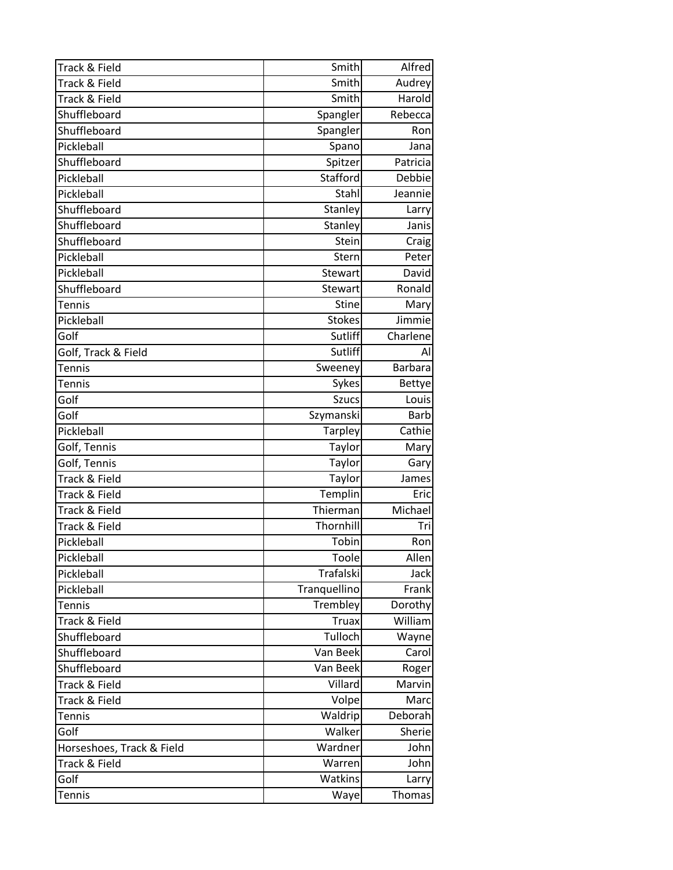| Track & Field             | Smith          | Alfred         |
|---------------------------|----------------|----------------|
| Track & Field             | Smith          | Audrey         |
| Track & Field             | Smith          | Harold         |
| Shuffleboard              | Spangler       | Rebecca        |
| Shuffleboard              | Spangler       | Ron            |
| Pickleball                | Spano          | Jana           |
| Shuffleboard              | Spitzer        | Patricia       |
| Pickleball                | Stafford       | Debbie         |
| Pickleball                | Stahl          | Jeannie        |
| Shuffleboard              | Stanley        | Larry          |
| Shuffleboard              | Stanley        | Janis          |
| Shuffleboard              | Stein          | Craig          |
| Pickleball                | Stern          | Peter          |
| Pickleball                | Stewart        | David          |
| Shuffleboard              | Stewart        | Ronald         |
| Tennis                    | <b>Stine</b>   | Mary           |
| Pickleball                | <b>Stokes</b>  | Jimmie         |
| Golf                      | Sutliff        | Charlene       |
| Golf, Track & Field       | Sutliff        | Al             |
| Tennis                    | Sweeney        | <b>Barbara</b> |
| <b>Tennis</b>             | Sykes          | <b>Bettye</b>  |
| Golf                      | <b>Szucs</b>   | Louis          |
| Golf                      | Szymanski      | <b>Barb</b>    |
| Pickleball                | <b>Tarpley</b> | Cathie         |
| Golf, Tennis              | Taylor         | Mary           |
| Golf, Tennis              | Taylor         | Gary           |
| Track & Field             | Taylor         | James          |
| Track & Field             | Templin        | Eric           |
| Track & Field             | Thierman       | Michael        |
| Track & Field             | Thornhill      | Tri            |
| Pickleball                | Tobin          | Ron            |
| Pickleball                | Toole          | Allen          |
| Pickleball                | Trafalski      | <b>Jack</b>    |
| Pickleball                | Tranquellino   | Frank          |
| <b>Tennis</b>             | Trembley       | Dorothy        |
| Track & Field             | <b>Truax</b>   | William        |
| Shuffleboard              | Tulloch        | Wayne          |
| Shuffleboard              | Van Beek       | Carol          |
| Shuffleboard              | Van Beek       | Roger          |
| Track & Field             | Villard        | Marvin         |
| Track & Field             | Volpe          | Marc           |
| Tennis                    | Waldrip        | Deborah        |
| Golf                      | Walker         | Sherie         |
| Horseshoes, Track & Field | Wardner        | John           |
| Track & Field             | Warren         | John           |
| Golf                      | Watkins        | Larry          |
| Tennis                    | Waye           | Thomas         |